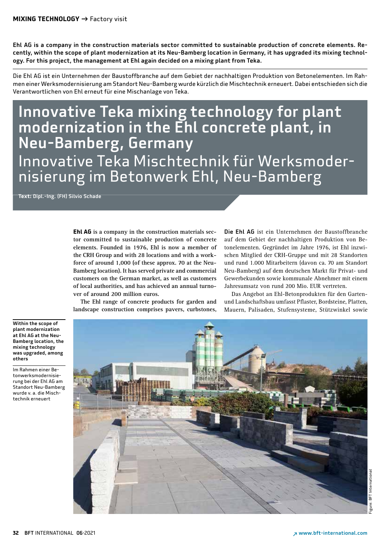Ehl AG is a company in the construction materials sector committed to sustainable production of concrete elements. Recently, within the scope of plant modernization at its Neu-Bamberg location in Germany, it has upgraded its mixing technology. For this project, the management at Ehl again decided on a mixing plant from Teka.

Die Ehl AG ist ein Unternehmen der Baustoffbranche auf dem Gebiet der nachhaltigen Produktion von Betonelementen. Im Rahmen einer Werksmodernisierung am Standort Neu-Bamberg wurde kürzlich die Mischtechnik erneuert. Dabei entschieden sich die Verantwortlichen von Ehl erneut für eine Mischanlage von Teka.

# Innovative Teka mixing technology for plant modernization in the Ehl concrete plant, in Neu-Bamberg, Germany Innovative Teka Mischtechnik für Werksmoder nisierung im Betonwerk Ehl, Neu-Bamberg

**Text:** Dipl.-Ing. (FH) Silvio Schade

**Ehl AG is a company in the construction materials sector committed to sustainable production of concrete elements. Founded in 1976, Ehl is now a member of the CRH Group and with 28 locations and with a workforce of around 1,000 (of these approx. 70 at the Neu-Bamberg location). It has served private and commercial customers on the German market, as well as customers of local authorities, and has achieved an annual turnover of around 200 million euros.**

**The Ehl range of concrete products for garden and landscape construction comprises pavers, curbstones,** 

Die Ehl AG ist ein Unternehmen der Baustoffbranche auf dem Gebiet der nachhaltigen Produktion von Betonelementen. Gegründet im Jahre 1976, ist Ehl inzwischen Mitglied der CRH-Gruppe und mit 28 Standorten und rund 1.000 Mitarbeitern (davon ca. 70 am Standort Neu-Bamberg) auf dem deutschen Markt für Privat- und Gewerbekunden sowie kommunale Abnehmer mit einem Jahresumsatz von rund 200 Mio. EUR vertreten.

Das Angebot an Ehl-Betonprodukten für den Gartenund Landschaftsbau umfasst Pflaster, Bordsteine, Platten, Mauern, Palisaden, Stufensysteme, Stützwinkel sowie



Im Rahmen einer Betonwerksmodernisierung bei der Ehl AG am Standort Neu-Bamberg wurde v. a. die Mischtechnik erneuert

Figure: BFT International

igure: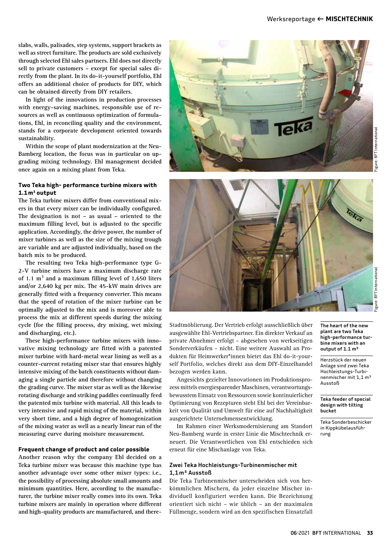**slabs, walls, palisades, step systems, support brackets as well as street furniture. The products are sold exclusively through selected Ehl sales partners. Ehl does not directly sell to private customers – except for special sales directly from the plant. In its do-it-yourself portfolio, Ehl offers an additional choice of products for DIY, which can be obtained directly from DIY retailers.** 

**In light of the innovations in production processes with energy-saving machines, responsible use of resources as well as continuous optimization of formulations, Ehl, in reconciling quality and the environment, stands for a corporate development oriented towards sustainability.** 

**Within the scope of plant modernization at the Neu-Bamberg location, the focus was in particular on upgrading mixing technology. Ehl management decided once again on a mixing plant from Teka.**

### **Two Teka high- performance turbine mixers with 1.1m3 output**

**The Teka turbine mixers differ from conventional mixers in that every mixer can be individually configured. The designation is not – as usual – oriented to the maximum filling level, but is adjusted to the specific application. Accordingly, the drive power, the number of mixer turbines as well as the size of the mixing trough are variable and are adjusted individually, based on the batch mix to be produced.** 

**The resulting two Teka high-performance type G-2-V turbine mixers have a maximum discharge rate of 1.1 m³ and a maximum filling level of 1,650 liters and/or 2,640 kg per mix. The 45-kW main drives are generally fitted with a frequency converter. This means that the speed of rotation of the mixer turbine can be optimally adjusted to the mix and is moreover able to process the mix at different speeds during the mixing cycle (for the filling process, dry mixing, wet mixing and discharging, etc.).** 

**These high-performance turbine mixers with innovative mixing technology are fitted with a patented mixer turbine with hard-metal wear lining as well as a counter-current rotating mixer star that ensures highly intensive mixing of the batch constituents without damaging a single particle and therefore without changing the grading curve. The mixer star as well as the likewise rotating discharge and striking paddles continually feed the patented mix turbine with material. All this leads to very intensive and rapid mixing of the material, within very short time, and a high degree of homogenization of the mixing water as well as a nearly linear run of the measuring curve during moisture measurement.** 

#### **Frequent change of product and color possible**

**Another reason why the company Ehl decided on a Teka turbine mixer was because this machine type has another advantage over some other mixer types: i.e., the possibility of processing absolute small amounts and minimum quantities. Here, according to the manufacturer, the turbine mixer really comes into its own. Teka turbine mixers are mainly in operation where different and high-quality products are manufactured, and there-**





**BFT** International Figure: BFT International gure:

Stadtmöblierung. Der Vertrieb erfolgt ausschließlich über ausgewählte Ehl-Vertriebspartner. Ein direkter Verkauf an private Abnehmer erfolgt – abgesehen von werkseitigen Sonderverkäufen – nicht. Eine weitere Auswahl an Produkten für Heimwerker\*innen bietet das Ehl do-it-yourself Portfolio, welches direkt aus dem DIY-Einzelhandel bezogen werden kann.

Angesichts gezielter Innovationen im Produktionsprozess mittels energiesparender Maschinen, verantwortungsbewusstem Einsatz von Ressourcen sowie kontinuierlicher Optimierung von Rezepturen steht Ehl bei der Vereinbarkeit von Qualität und Umwelt für eine auf Nachhaltigkeit ausgerichtete Unternehmensentwicklung.

Im Rahmen einer Werksmodernisierung am Standort Neu-Bamberg wurde in erster Linie die Mischtechnik erneuert. Die Verantwortlichen von Ehl entschieden sich erneut für eine Mischanlage von Teka.

#### Zwei Teka Hochleistungs-Turbinenmischer mit 1,1m³ Ausstoß

Die Teka Turbinenmischer unterscheiden sich von herkömmlichen Mischern, da jeder einzelne Mischer individuell konfiguriert werden kann. Die Bezeichnung orientiert sich nicht – wie üblich – an der maximalen Füllmenge, sondern wird an den spezifischen Einsatzfall The heart of the new plant are two Teka high-performance turbine mixers with an output of 1.1 m<sup>3</sup>

Herzstück der neuen Anlage sind zwei Teka Hochleistungs-Turbinenmischer mit 1,1 m³ Ausstoß

Teka feeder of special design with tilting bucket

Teka Sonderbeschicker in Kippkübelausführung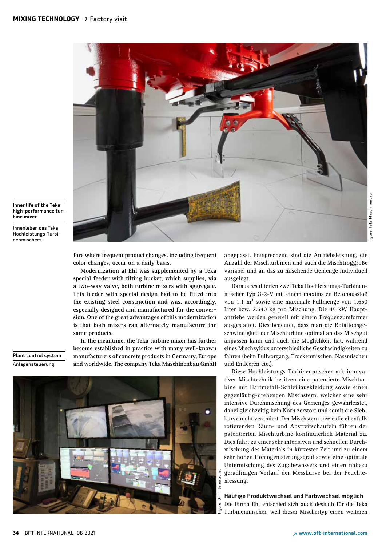

#### Inner life of the Teka high-performance turbine mixer

Innenleben des Teka Hochleistungs-Turbinenmischers

> **fore where frequent product changes, including frequent color changes, occur on a daily basis.**

> **Modernization at Ehl was supplemented by a Teka special feeder with tilting bucket, which supplies, via a two-way valve, both turbine mixers with aggregate. This feeder with special design had to be fitted into the existing steel construction and was, accordingly, especially designed and manufactured for the conversion. One of the great advantages of this modernization is that both mixers can alternately manufacture the same products.**

> **In the meantime, the Teka turbine mixer has further become established in practice with many well-known manufacturers of concrete products in Germany, Europe and worldwide. The company Teka Maschinenbau GmbH**

Plant control system Anlagensteuerung



angepasst. Entsprechend sind die Antriebsleistung, die Anzahl der Mischturbinen und auch die Mischtroggröße variabel und an das zu mischende Gemenge individuell ausgelegt.

Daraus resultierten zwei Teka Hochleistungs-Turbinenmischer Typ G-2-V mit einem maximalen Betonausstoß von 1,1 m<sup>3</sup> sowie eine maximale Füllmenge von 1.650 Liter bzw. 2.640 kg pro Mischung. Die 45 kW Hauptantriebe werden generell mit einem Frequenzumformer ausgestattet. Dies bedeutet, dass man die Rotationsgeschwindigkeit der Mischturbine optimal an das Mischgut anpassen kann und auch die Möglichkeit hat, während eines Mischzyklus unterschiedliche Geschwindigkeiten zu fahren (beim Füllvorgang, Trockenmischen, Nassmischen und Entleeren etc.).

Diese Hochleistungs-Turbinenmischer mit innovativer Mischtechnik besitzen eine patentierte Mischturbine mit Hartmetall-Schleißauskleidung sowie einen gegenläufig-drehenden Mischstern, welcher eine sehr intensive Durchmischung des Gemenges gewährleistet, dabei gleichzeitig kein Korn zerstört und somit die Siebkurve nicht verändert. Der Mischstern sowie die ebenfalls rotierenden Räum- und Abstreifschaufeln führen der patentierten Mischturbine kontinuierlich Material zu. Dies führt zu einer sehr intensiven und schnellen Durchmischung des Materials in kürzester Zeit und zu einem sehr hohen Homogenisierungsgrad sowie eine optimale Untermischung des Zugabewassers und einen nahezu geradlinigen Verlauf der Messkurve bei der Feuchtemessung.

#### Häufige Produktwechsel und Farbwechsel möglich

Die Firma Ehl entschied sich auch deshalb für die Teka Turbinenmischer, weil dieser Mischertyp einen weiteren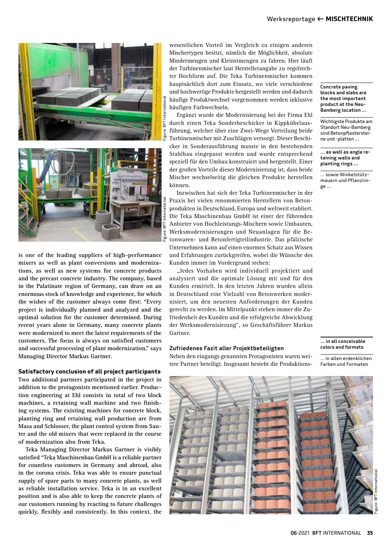



**is one of the leading suppliers of high-performance mixers as well as plant conversions and modernizations, as well as new systems for concrete products and the precast concrete industry. The company, based in the Palatinate region of Germany, can draw on an enormous stock of knowledge and experience, for which the wishes of the customer always come first: "Every project is individually planned and analyzed and the optimal solution for the customer determined. During recent years alone in Germany, many concrete plants were modernized to meet the latest requirements of the customers. The focus is always on satisfied customers and successful processing of plant modernization," says Managing Director Markus Gartner.**

#### **Satisfactory conclusion of all project participants**

**Two additional partners participated in the project in addition to the protagonists mentioned earlier. Production engineering at Ehl consists in total of two block machines, a retaining wall machine and two finishing systems. The existing machines for concrete block, planting ring and retaining wall production are from Masa and Schlosser, the plant control system from Sauter and the old mixers that were replaced in the course of modernization also from Teka.**

**Teka Managing Director Markus Gartner is visibly satisfied "Teka Maschinenbau GmbH is a reliable partner for countless customers in Germany and abroad, also in the corona crisis. Teka was able to ensure punctual supply of spare parts to many concrete plants, as well as reliable installation service. Teka is in an excellent position and is also able to keep the concrete plants of our customers running by reacting to future challenges quickly, flexibly and consistently. In this context, the** 

wesentlichen Vorteil im Vergleich zu einigen anderen Mischertypen besitzt, nämlich die Möglichkeit, absolute Mindermengen und Kleinstmengen zu fahren. Hier läuft der Turbinenmischer laut Herstellerangabe zu regelrechter Hochform auf. Die Teka Turbinenmischer kommen hauptsächlich dort zum Einsatz, wo viele verschiedene und hochwertige Produkte hergestellt werden und dadurch häufige Produktwechsel vorgenommen werden inklusive häufigen Farbwechseln.

Ergänzt wurde die Modernisierung bei der Firma Ehl durch einen Teka Sonderbeschicker in Kippkübelausführung, welcher über eine Zwei-Wege Verteilung beide Turbinenmischer mit Zuschlägen versorgt. Dieser Beschicker in Sonderausführung musste in den bestehenden Stahlbau eingepasst werden und wurde entsprechend speziell für den Umbau konstruiert und hergestellt. Einer der großen Vorteile dieser Modernisierung ist, dass beide Mischer wechselseitig die gleichen Produkte herstellen können.

Inzwischen hat sich der Teka Turbinenmischer in der Praxis bei vielen renommierten Herstellern von Betonprodukten in Deutschland, Europa und weltweit etabliert. Die Teka Maschinenbau GmbH ist einer der führenden Anbieter von Hochleistungs-Mischern sowie Umbauten, Werksmodernisierungen und Neuanlagen für die Betonwaren- und Betonfertigteilindustrie. Das pfälzische Unternehmen kann auf einen enormen Schatz aus Wissen und Erfahrungen zurückgreifen, wobei die Wünsche des Kunden immer im Vordergrund stehen:

"Jedes Vorhaben wird individuell projektiert und analysiert und die optimale Lösung mit und für den Kunden ermittelt. In den letzten Jahren wurden allein in Deutschland eine Vielzahl von Betonwerken modernisiert, um den neuesten Anforderungen der Kunden gerecht zu werden. Im Mittelpunkt stehen immer die Zufriedenheit des Kunden und die erfolgreiche Abwicklung der Werksmodernisierung", so Geschäftsführer Markus Gartner.

#### Zufriedenes Fazit aller Projektbeteiligten

Neben den eingangs genannten Protagonisten waren weitere Partner beteiligt. Insgesamt besteht die Produktions-



Wichtigste Produkte am Standort Neu-Bamberg sind Betonpflastersteine und -platten …

… as well as angle retaining walls and planting rings …

… sowie Winkelstützmauern und Pflanzringe …

#### … in all conceivable colors and formats

… in allen erdenklichen Farben und Formaten

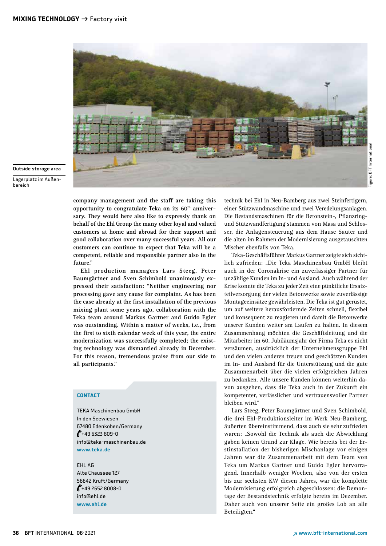

Outside storage area

Lagerplatz im Außenbereich

> **company management and the staff are taking this**  opportunity to congratulate Teka on its 60<sup>th</sup> anniver**sary. They would here also like to expressly thank on behalf of the Ehl Group the many other loyal and valued customers at home and abroad for their support and good collaboration over many successful years. All our customers can continue to expect that Teka will be a competent, reliable and responsible partner also in the future."**

> **Ehl production managers Lars Steeg, Peter Baumgärtner and Sven Schimbold unanimously expressed their satisfaction: "Neither engineering nor processing gave any cause for complaint. As has been the case already at the first installation of the previous mixing plant some years ago, collaboration with the Teka team around Markus Gartner and Guido Egler was outstanding. Within a matter of weeks, i.e., from the first to sixth calendar week of this year, the entire modernization was successfully completed; the existing technology was dismantled already in December. For this reason, tremendous praise from our side to all participants."**

## **CONTACT**

TEKA Maschinenbau GmbH In den Seewiesen 67480 Edenkoben/Germany  $\ell$ +49 6323 809-0 info@teka-maschinenbau.de www.teka.de

EHL AG Alte Chaussee 127 56642 Kruft/Germany  $\ell$ +49 2652 8008-0 info@ehl.de www.ehl.de

technik bei Ehl in Neu-Bamberg aus zwei Steinfertigern, einer Stützwandmaschine und zwei Veredelungsanlagen. Die Bestandsmaschinen für die Betonstein-, Pflanzringund Stützwandfertigung stammen von Masa und Schlosser, die Anlagensteuerung aus dem Hause Sauter und die alten im Rahmen der Modernisierung ausgetauschten Mischer ebenfalls von Teka.

Teka-Geschäftsführer Markus Gartner zeigte sich sichtlich zufrieden: "Die Teka Maschinenbau GmbH bleibt auch in der Coronakrise ein zuverlässiger Partner für unzählige Kunden im In- und Ausland. Auch während der Krise konnte die Teka zu jeder Zeit eine pünktliche Ersatzteilversorgung der vielen Betonwerke sowie zuverlässige Montageeinsätze gewährleisten. Die Teka ist gut gerüstet, um auf weitere herausfordernde Zeiten schnell, flexibel und konsequent zu reagieren und damit die Betonwerke unserer Kunden weiter am Laufen zu halten. In diesem Zusammenhang möchten die Geschäftsleitung und die Mitarbeiter im 60. Jubiläumsjahr der Firma Teka es nicht versäumen, ausdrücklich der Unternehmensgruppe Ehl und den vielen anderen treuen und geschätzten Kunden im In- und Ausland für die Unterstützung und die gute Zusammenarbeit über die vielen erfolgreichen Jahren zu bedanken. Alle unsere Kunden können weiterhin davon ausgehen, dass die Teka auch in der Zukunft ein kompetenter, verlässlicher und vertrauensvoller Partner bleiben wird."

Lars Steeg, Peter Baumgärtner und Sven Schimbold, die drei Ehl-Produktionsleiter im Werk Neu-Bamberg, äußerten übereinstimmend, dass auch sie sehr zufrieden waren: "Sowohl die Technik als auch die Abwicklung gaben keinen Grund zur Klage. Wie bereits bei der Erstinstallation der bisherigen Mischanlage vor einigen Jahren war die Zusammenarbeit mit dem Team von Teka um Markus Gartner und Guido Egler hervorragend. Innerhalb weniger Wochen, also von der ersten bis zur sechsten KW diesen Jahres, war die komplette Modernisierung erfolgreich abgeschlossen; die Demontage der Bestandstechnik erfolgte bereits im Dezember. Daher auch von unserer Seite ein großes Lob an alle Beteiligten."

Figure: BFT International

igure: